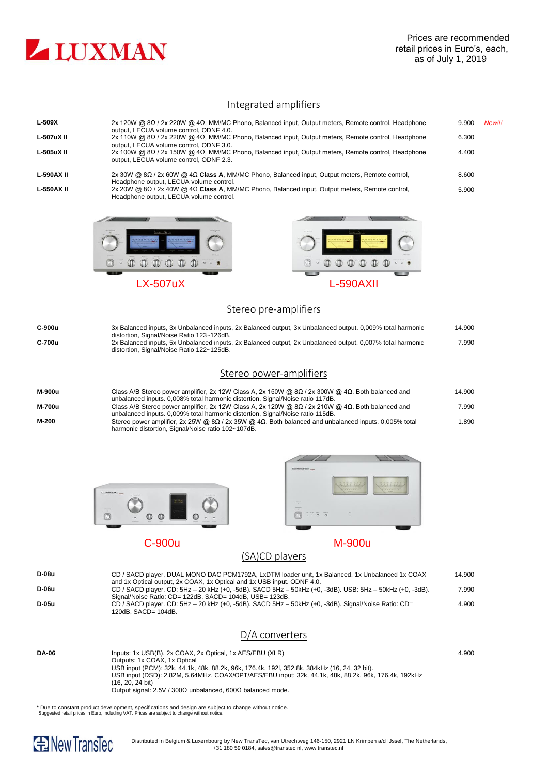

### Integrated amplifiers

| $L-509X$          | 2x 120W @ $8\Omega$ / 2x 220W @ $4\Omega$ , MM/MC Phono, Balanced input, Output meters, Remote control, Headphone<br>output. LECUA volume control. ODNF 4.0. | 9.900 | New!!! |
|-------------------|--------------------------------------------------------------------------------------------------------------------------------------------------------------|-------|--------|
| L-507uX II        | 2x 110W @ 8Ω / 2x 220W @ 4Ω, MM/MC Phono, Balanced input, Output meters, Remote control, Headphone<br>output, LECUA volume control, ODNF 3.0.                | 6.300 |        |
| L-505uX II        | 2x 100W @ $8\Omega$ / 2x 150W @ $4\Omega$ , MM/MC Phono, Balanced input, Output meters, Remote control, Headphone<br>output, LECUA volume control, ODNF 2.3. | 4.400 |        |
| <b>L-590AX II</b> | 2x 30W @ $8\Omega$ / 2x 60W @ $4\Omega$ Class A, MM/MC Phono, Balanced input, Output meters, Remote control,<br>Headphone output, LECUA volume control.      | 8.600 |        |
| <b>L-550AX II</b> | 2x 20W @ $8\Omega$ / 2x 40W @ $4\Omega$ Class A, MM/MC Phono, Balanced input, Output meters, Remote control,<br>Headphone output, LECUA volume control.      | 5.900 |        |
|                   |                                                                                                                                                              |       |        |





## Stereo pre-amplifiers

| C-900u | 3x Balanced inputs, 3x Unbalanced inputs, 2x Balanced output, 3x Unbalanced output. 0,009% total harmonic<br>distortion, Signal/Noise Ratio 123~126dB.                                            | 14.900 |
|--------|---------------------------------------------------------------------------------------------------------------------------------------------------------------------------------------------------|--------|
| C-700u | 2x Balanced inputs, 5x Unbalanced inputs, 2x Balanced output, 2x Unbalanced output. 0,007% total harmonic<br>distortion, Signal/Noise Ratio 122~125dB.                                            | 7.990  |
|        | Stereo power-amplifiers                                                                                                                                                                           |        |
| M-900u | Class A/B Stereo power amplifier, 2x 12W Class A, 2x 150W @ $8\Omega$ / 2x 300W @ $4\Omega$ . Both balanced and<br>unbalanced inputs. 0,008% total harmonic distortion, Signal/Noise ratio 117dB. | 14.900 |
| M-700u | Class A/B Stereo power amplifier, 2x 12W Class A, 2x 120W @ $8\Omega$ / 2x 210W @ $4\Omega$ . Both balanced and<br>unbalanced inputs. 0,009% total harmonic distortion, Signal/Noise ratio 115dB. | 7.990  |
| M-200  | Stereo power amplifier, 2x 25W @ $8\Omega$ / 2x 35W @ $4\Omega$ . Both balanced and unbalanced inputs. 0,005% total<br>harmonic distortion, Signal/Noise ratio 102~107dB.                         | 1.890  |





C-900u M-900u

# (SA)CD players

| D-08u<br>D-06u<br>D-05u | CD / SACD player, DUAL MONO DAC PCM1792A, LxDTM loader unit, 1x Balanced, 1x Unbalanced 1x COAX<br>and 1x Optical output, 2x COAX, 1x Optical and 1x USB input. ODNF 4.0.<br>CD / SACD player. CD: 5Hz - 20 kHz (+0, -5dB). SACD 5Hz - 50kHz (+0, -3dB). USB: 5Hz - 50kHz (+0, -3dB).<br>Signal/Noise Ratio: CD= 122dB, SACD= 104dB, USB= 123dB.<br>$CD$ / SACD player. CD: 5Hz – 20 kHz (+0, -5dB). SACD 5Hz – 50kHz (+0, -3dB). Signal/Noise Ratio: CD= | 14.900<br>7.990<br>4.900 |
|-------------------------|-----------------------------------------------------------------------------------------------------------------------------------------------------------------------------------------------------------------------------------------------------------------------------------------------------------------------------------------------------------------------------------------------------------------------------------------------------------|--------------------------|
|                         | 120dB. SACD= 104dB.<br>D/A converters                                                                                                                                                                                                                                                                                                                                                                                                                     |                          |
| <b>DA-06</b>            | Inputs: 1x USB(B), 2x COAX, 2x Optical, 1x AES/EBU (XLR)<br>Outputs: 1x COAX, 1x Optical<br>USB input (PCM): 32k, 44.1k, 48k, 88.2k, 96k, 176.4k, 192l, 352.8k, 384kHz (16, 24, 32 bit).<br>USB input (DSD): 2.82M, 5.64MHz, COAX/OPT/AES/EBU input: 32k, 44.1k, 48k, 88.2k, 96k, 176.4k, 192kHz<br>(16, 20, 24 bit)                                                                                                                                      | 4.900                    |

Output signal: 2.5V / 300Ω unbalanced, 600Ω balanced mode.

\* Due to constant product development, specifications and design are subject to change without notice. Suggested retail prices in Euro, including VAT. Prices are subject to change without notice.